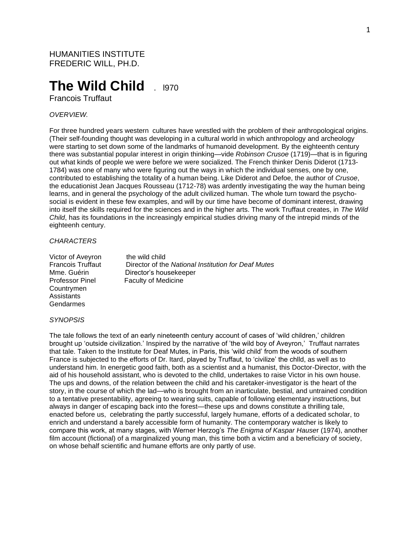# **The Wild Child** ...

Francois Truffaut

# *OVERVIEW.*

For three hundred years western cultures have wrestled with the problem of their anthropological origins. (Their self-founding thought was developing in a cultural world in which anthropology and archeology were starting to set down some of the landmarks of humanoid development. By the eighteenth century there was substantial popular interest in origin thinking—vide *Robinson Crusoe* (1719)—that is in figuring out what kinds of people we were before we were socialized. The French thinker Denis Diderot (1713- 1784) was one of many who were figuring out the ways in which the individual senses, one by one, contributed to establishing the totality of a human being. Like Diderot and Defoe, the author of *Crusoe*, the educationist Jean Jacques Rousseau (1712-78) was ardently investigating the way the human being learns, and in general the psychology of the adult civilized human. The whole turn toward the psychosocial is evident in these few examples, and will by our time have become of dominant interest, drawing into itself the skills required for the sciences and in the higher arts. The work Truffaut creates, in *The Wild Child*, has its foundations in the increasingly empirical studies driving many of the intrepid minds of the eighteenh century.

## *CHARACTERS*

Victor of Aveyron the wild child Countrymen **Assistants** Gendarmes

Francois Truffaut Director of the *National Institution for Deaf Mutes* Mme. Guérin Director's housekeeper Professor Pinel Faculty of Medicine

#### *SYNOPSIS*

The tale follows the text of an early nineteenth century account of cases of 'wild children,' children brought up 'outside civilization.' Inspired by the narrative of 'the wild boy of Aveyron,' Truffaut narrates that tale. Taken to the Institute for Deaf Mutes, in Paris, this 'wild child' from the woods of southern France is subjected to the efforts of Dr. Itard, played by Truffaut, to 'civilize' the chlld, as well as to understand him. In energetic good faith, both as a scientist and a humanist, this Doctor-Director, with the aid of his household assistant, who is devoted to the chlld, undertakes to raise Victor in his own house. The ups and downs, of the relation between the child and his caretaker-investigator is the heart of the story, in the course of which the lad—who is brought from an inarticulate, bestial, and untrained condition to a tentative presentability, agreeing to wearing suits, capable of following elementary instructions, but always in danger of escaping back into the forest—these ups and downs constitute a thrilling tale, enacted before us, celebrating the partly successful, largely humane, efforts of a dedicated scholar, to enrich and understand a barely accessible form of humanity. The contemporary watcher is likely to compare this work, at many stages, with Werner Herzog's *The Enigma of Kaspar Hause*r (1974), another film account (fictional) of a marginalized young man, this time both a victim and a beneficiary of society, on whose behalf scientific and humane efforts are only partly of use.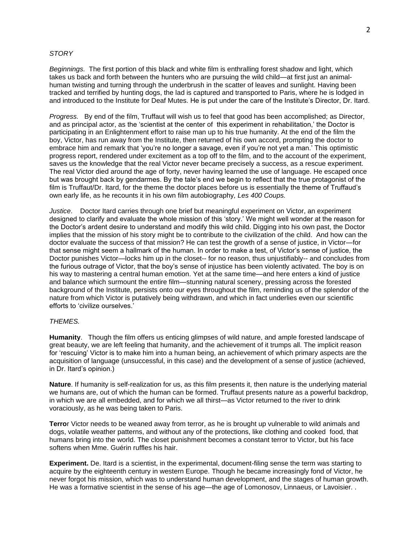### *STORY*

*Beginnings.* The first portion of this black and white film is enthralling forest shadow and light, which takes us back and forth between the hunters who are pursuing the wild child—at first just an animalhuman twisting and turning through the underbrush in the scatter of leaves and sunlight. Having been tracked and terrified by hunting dogs, the lad is captured and transported to Paris, where he is lodged in and introduced to the Institute for Deaf Mutes. He is put under the care of the Institute's Director, Dr. Itard.

*Progress.* By end of the film, Truffaut will wish us to feel that good has been accomplished; as Director, and as principal actor, as the 'scientist at the center of this experiment in rehabilitation,' the Doctor is participating in an Enlightenment effort to raise man up to his true humanity. At the end of the film the boy, Victor, has run away from the Institute, then returned of his own accord, prompting the doctor to embrace him and remark that 'you're no longer a savage, even if you're not yet a man.' This optimistic progress report, rendered under excitement as a top off to the film, and to the account of the experiment, saves us the knowledge that the real Victor never became precisely a success, as a rescue experiment. The real Victor died around the age of forty, never having learned the use of language. He escaped once but was brought back by gendarmes. By the tale's end we begin to reflect that the true protagonist of the film is Truffaut/Dr. Itard, for the theme the doctor places before us is essentially the theme of Truffaud's own early life, as he recounts it in his own film autobiography*, Les 400 Coups.*

*Justice*. Doctor Itard carries through one brief but meaningful experiment on Victor, an experiment designed to clarify and evaluate the whole mission of this 'story.' We might well wonder at the reason for the Doctor's ardent desire to understand and modify this wild child. Digging into his own past, the Doctor implies that the mission of his story might be to contribute to the civilization of the child. And how can the doctor evaluate the success of that mission? He can test the growth of a sense of justice, in Victor—for that sense might seem a hallmark of the human. In order to make a test, of Victor's sense of justice, the Doctor punishes Victor—locks him up in the closet-- for no reason, thus unjustifiably-- and concludes from the furious outrage of Victor, that the boy's sense of injustice has been violently activated. The boy is on his way to mastering a central human emotion. Yet at the same time—and here enters a kind of justice and balance which surmount the entire film—stunning natural scenery, pressing across the forested background of the Institute, persists onto our eyes throughout the film, reminding us of the splendor of the nature from which Victor is putatively being withdrawn, and which in fact underlies even our scientific efforts to 'civilize ourselves.'

# *THEMES.*

**Humanity**. Though the film offers us enticing glimpses of wild nature, and ample forested landscape of great beauty, we are left feeling that humanity, and the achievement of it trumps all. The implicit reason for 'rescuing' Victor is to make him into a human being, an achievement of which primary aspects are the acquisition of language (unsuccessful, in this case) and the development of a sense of justice (achieved, in Dr. Itard's opinion.)

**Nature**. If humanity is self-realization for us, as this film presents it, then nature is the underlying material we humans are, out of which the human can be formed. Truffaut presents nature as a powerful backdrop, in which we are all embedded, and for which we all thirst—as Victor returned to the river to drink voraciously, as he was being taken to Paris.

**Terro**r Victor needs to be weaned away from terror, as he is brought up vulnerable to wild animals and dogs, volatile weather patterns, and without any of the protections, like clothing and cooked food, that humans bring into the world. The closet punishment becomes a constant terror to Victor, but his face softens when Mme. Guérin ruffles his hair.

**Experiment.** De. Itard is a scientist, in the experimental, document-filing sense the term was starting to acquire by the eighteenth century in western Europe. Though he became increasingly fond of Victor, he never forgot his mission, which was to understand human development, and the stages of human growth. He was a formative scientist in the sense of his age—the age of Lomonosov, Linnaeus, or Lavoisier. .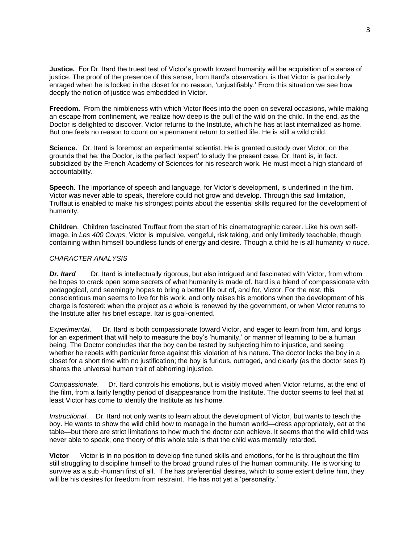**Justice.** For Dr. Itard the truest test of Victor's growth toward humanity will be acquisition of a sense of justice. The proof of the presence of this sense, from Itard's observation, is that Victor is particularly enraged when he is locked in the closet for no reason, 'unjustifiably.' From this situation we see how deeply the notion of justice was embedded in Victor.

**Freedom.** From the nimbleness with which Victor flees into the open on several occasions, while making an escape from confinement, we realize how deep is the pull of the wild on the child. In the end, as the Doctor is delighted to discover, Victor returns to the Institute, which he has at last internalized as home. But one feels no reason to count on a permanent return to settled life. He is still a wild child.

**Science.** Dr. Itard is foremost an experimental scientist. He is granted custody over Victor, on the grounds that he, the Doctor, is the perfect 'expert' to study the present case. Dr. Itard is, in fact. subsidized by the French Academy of Sciences for his research work. He must meet a high standard of accountability.

**Speech**. The importance of speech and language, for Victor's development, is underlined in the film. Victor was never able to speak, therefore could not grow and develop. Through this sad limitation, Truffaut is enabled to make his strongest points about the essential skills required for the development of humanity.

**Children**. Children fascinated Truffaut from the start of his cinematographic career. Like his own selfimage, in *Les 400 Coups*, Victor is impulsive, vengeful, risk taking, and only limitedly teachable, though containing within himself boundless funds of energy and desire. Though a child he is all humanity *in nuce.*

## *CHARACTER ANALYSIS*

**Dr. Itard** Dr. Itard is intellectually rigorous, but also intrigued and fascinated with Victor, from whom he hopes to crack open some secrets of what humanity is made of. Itard is a blend of compassionate with pedagogical, and seemingly hopes to bring a better life out of, and for, Victor. For the rest, this conscientious man seems to live for his work, and only raises his emotions when the development of his charge is fostered: when the project as a whole is renewed by the government, or when Victor returns to the Institute after his brief escape. Itar is goal-oriented.

*Experimental*. Dr. Itard is both compassionate toward Victor, and eager to learn from him, and longs for an experiment that will help to measure the boy's 'humanity,' or manner of learning to be a human being. The Doctor concludes that the boy can be tested by subjecting him to injustice, and seeing whether he rebels with particular force against this violation of his nature. The doctor locks the boy in a closet for a short time with no justification; the boy is furious, outraged, and clearly (as the doctor sees it) shares the universal human trait of abhorring injustice.

*Compassionate*. Dr. Itard controls his emotions, but is visibly moved when Victor returns, at the end of the film, from a fairly lengthy period of disappearance from the Institute. The doctor seems to feel that at least Victor has come to identify the Institute as his home.

*Instructional*. Dr. Itard not only wants to learn about the development of Victor, but wants to teach the boy. He wants to show the wild child how to manage in the human world—dress appropriately, eat at the table—but there are strict limitations to how much the doctor can achieve. It seems that the wild chlld was never able to speak; one theory of this whole tale is that the child was mentally retarded.

**Victor** Victor is in no position to develop fine tuned skills and emotions, for he is throughout the film still struggling to discipline himself to the broad ground rules of the human community. He is working to survive as a sub -human first of all. If he has preferential desires, which to some extent define him, they will be his desires for freedom from restraint. He has not yet a 'personality.'